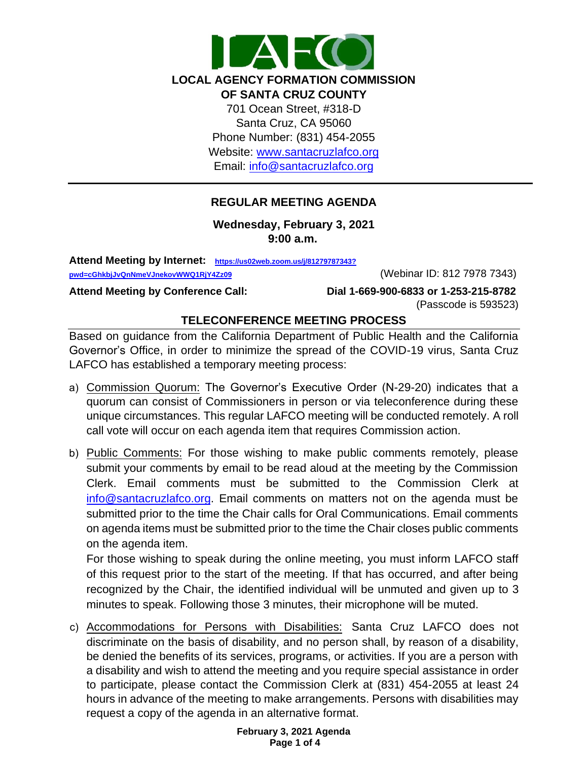

Website: [www.santacruzlafco.org](http://www.santacruzlafco.org/)

Email: [info@santacruzlafco.org](mailto:info@santacruzlafco.org)

# **REGULAR MEETING AGENDA**

**Wednesday, February 3, 2021 9:00 a.m.** 

**Attend Meeting by Internet: [https://us02web.zoom.us/j/81279787343?](https://us02web.zoom.us/j/81279787343?pwd=cGhkbjJvQnNmeVJnekovWWQ1RjY4Zz09)**

**pwd=cGhkbjJvQnNmeVJnekovWWQ1RjY4Zz09** (Webinar ID: 812 7978 7343)

**Attend Meeting by Conference Call: Dial 1-669-900-6833 or 1-253-215-8782** (Passcode is 593523)

## **TELECONFERENCE MEETING PROCESS**

Based on guidance from the California Department of Public Health and the California Governor's Office, in order to minimize the spread of the COVID-19 virus, Santa Cruz LAFCO has established a temporary meeting process:

- a) Commission Quorum: The Governor's Executive Order (N-29-20) indicates that a quorum can consist of Commissioners in person or via teleconference during these unique circumstances. This regular LAFCO meeting will be conducted remotely. A roll call vote will occur on each agenda item that requires Commission action.
- b) Public Comments: For those wishing to make public comments remotely, please submit your comments by email to be read aloud at the meeting by the Commission Clerk. Email comments must be submitted to the Commission Clerk at [info@santacruzlafco.org.](mailto:info@santacruzlafco.org) Email comments on matters not on the agenda must be submitted prior to the time the Chair calls for Oral Communications. Email comments on agenda items must be submitted prior to the time the Chair closes public comments on the agenda item.

For those wishing to speak during the online meeting, you must inform LAFCO staff of this request prior to the start of the meeting. If that has occurred, and after being recognized by the Chair, the identified individual will be unmuted and given up to 3 minutes to speak. Following those 3 minutes, their microphone will be muted.

c) Accommodations for Persons with Disabilities: Santa Cruz LAFCO does not discriminate on the basis of disability, and no person shall, by reason of a disability, be denied the benefits of its services, programs, or activities. If you are a person with a disability and wish to attend the meeting and you require special assistance in order to participate, please contact the Commission Clerk at (831) 454-2055 at least 24 hours in advance of the meeting to make arrangements. Persons with disabilities may request a copy of the agenda in an alternative format.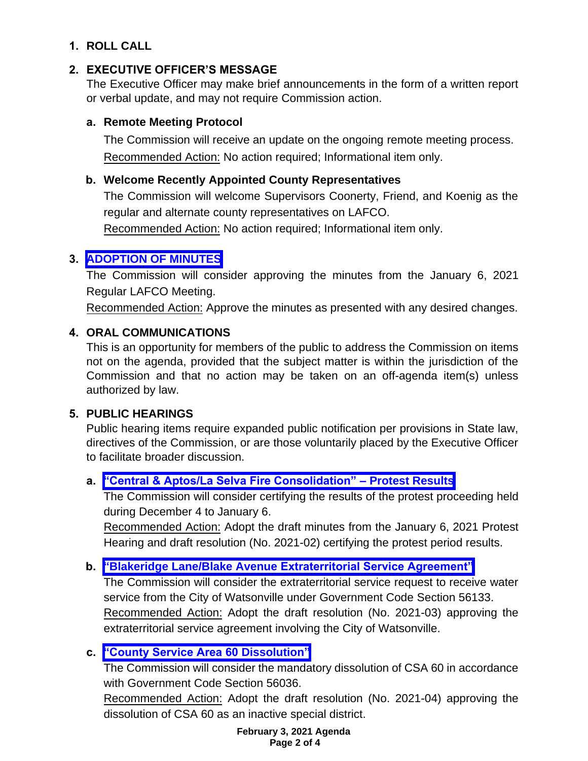## **1. ROLL CALL**

# **2. EXECUTIVE OFFICER'S MESSAGE**

The Executive Officer may make brief announcements in the form of a written report or verbal update, and may not require Commission action.

## **a. Remote Meeting Protocol**

The Commission will receive an update on the ongoing remote meeting process. Recommended Action: No action required; Informational item only.

# **b. Welcome Recently Appointed County Representatives**

The Commission will welcome Supervisors Coonerty, Friend, and Koenig as the regular and alternate county representatives on LAFCO.

Recommended Action: No action required; Informational item only.

# **3. [ADOPTION OF MINUTES](https://www.santacruzlafco.org/wp-content/uploads/2021/01/3.0-January-2021-Draft-Minutes.pdf)**

The Commission will consider approving the minutes from the January 6, 2021 Regular LAFCO Meeting.

Recommended Action: Approve the minutes as presented with any desired changes.

# **4. ORAL COMMUNICATIONS**

This is an opportunity for members of the public to address the Commission on items not on the agenda, provided that the subject matter is within the jurisdiction of the Commission and that no action may be taken on an off-agenda item(s) unless authorized by law.

# **5. PUBLIC HEARINGS**

Public hearing items require expanded public notification per provisions in State law, directives of the Commission, or are those voluntarily placed by the Executive Officer to facilitate broader discussion.

# **a. ["Central & Aptos/La Selva Fire Consolidation" –](https://www.santacruzlafco.org/wp-content/uploads/2021/01/5a.0-Protest-Results-Staff-Report.pdf) Protest Results**

The Commission will consider certifying the results of the protest proceeding held during December 4 to January 6.

Recommended Action: Adopt the draft minutes from the January 6, 2021 Protest Hearing and draft resolution (No. 2021-02) certifying the protest period results.

# **b. ["Blakeridge Lane/Blake Avenue Extraterritorial Service Agreement"](https://www.santacruzlafco.org/wp-content/uploads/2021/01/5b.0-Extraterritorial-Serv-Agreement-Staff-Report.pdf)**

The Commission will consider the extraterritorial service request to receive water service from the City of Watsonville under Government Code Section 56133. Recommended Action: Adopt the draft resolution (No. 2021-03) approving the extraterritorial service agreement involving the City of Watsonville.

# **c. ["County Service Area 60](https://www.santacruzlafco.org/wp-content/uploads/2021/01/5c.0-CSA-60-Dissolution-Staff-Report.pdf) Dissolution"**

The Commission will consider the mandatory dissolution of CSA 60 in accordance with Government Code Section 56036.

Recommended Action: Adopt the draft resolution (No. 2021-04) approving the dissolution of CSA 60 as an inactive special district.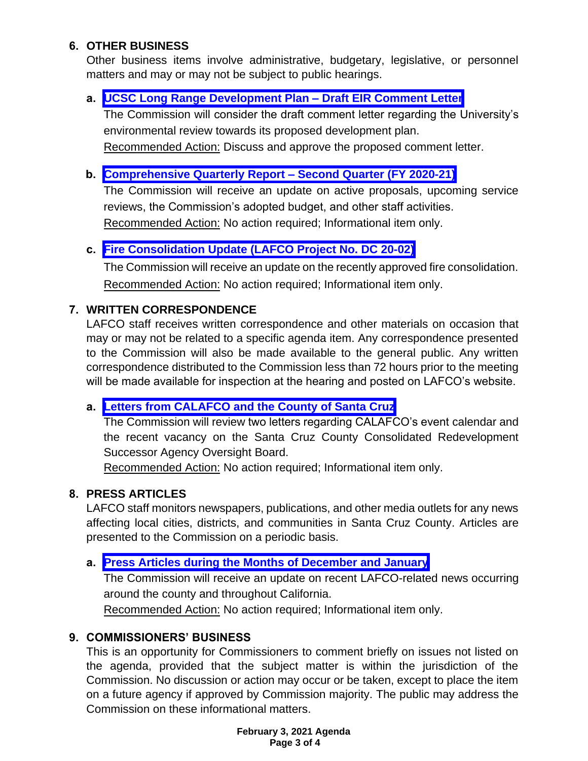## **6. OTHER BUSINESS**

Other business items involve administrative, budgetary, legislative, or personnel matters and may or may not be subject to public hearings.

## **a. UCSC Long [Range Development Plan –](https://www.santacruzlafco.org/wp-content/uploads/2021/01/6a.0-UCSC-Comment-Letter-Staff-Report.pdf) Draft EIR Comment Letter**

The Commission will consider the draft comment letter regarding the University's environmental review towards its proposed development plan. Recommended Action: Discuss and approve the proposed comment letter.

### **b. [Comprehensive Quarterly Report –](https://www.santacruzlafco.org/wp-content/uploads/2021/01/6b.0-Comp-Quarterly-Update-Staff-Report.pdf) Second Quarter (FY 2020-21)**

The Commission will receive an update on active proposals, upcoming service reviews, the Commission's adopted budget, and other staff activities. Recommended Action: No action required; Informational item only.

## **c. [Fire Consolidation Update \(LAFCO Project No. DC 20-02\)](https://www.santacruzlafco.org/wp-content/uploads/2021/01/6c.0-Consolidation-Update-Staff-Report.pdf)**

The Commission will receive an update on the recently approved fire consolidation. Recommended Action: No action required; Informational item only.

### **7. WRITTEN CORRESPONDENCE**

LAFCO staff receives written correspondence and other materials on occasion that may or may not be related to a specific agenda item. Any correspondence presented to the Commission will also be made available to the general public. Any written correspondence distributed to the Commission less than 72 hours prior to the meeting will be made available for inspection at the hearing and posted on LAFCO's website.

## **a. [Letters from CALAFCO and the County of Santa Cruz](https://www.santacruzlafco.org/wp-content/uploads/2021/01/7a.0-Written-Correspondence-Staff-Report.pdf)**

The Commission will review two letters regarding CALAFCO's event calendar and the recent vacancy on the Santa Cruz County Consolidated Redevelopment Successor Agency Oversight Board.

Recommended Action: No action required; Informational item only.

### **8. PRESS ARTICLES**

LAFCO staff monitors newspapers, publications, and other media outlets for any news affecting local cities, districts, and communities in Santa Cruz County. Articles are presented to the Commission on a periodic basis.

### **a. [Press Articles during the Months of December and January](https://www.santacruzlafco.org/wp-content/uploads/2021/01/8a.0-Press-Articles-Staff-Report.pdf)**

The Commission will receive an update on recent LAFCO-related news occurring around the county and throughout California.

Recommended Action: No action required; Informational item only.

## **9. COMMISSIONERS' BUSINESS**

This is an opportunity for Commissioners to comment briefly on issues not listed on the agenda, provided that the subject matter is within the jurisdiction of the Commission. No discussion or action may occur or be taken, except to place the item on a future agency if approved by Commission majority. The public may address the Commission on these informational matters.